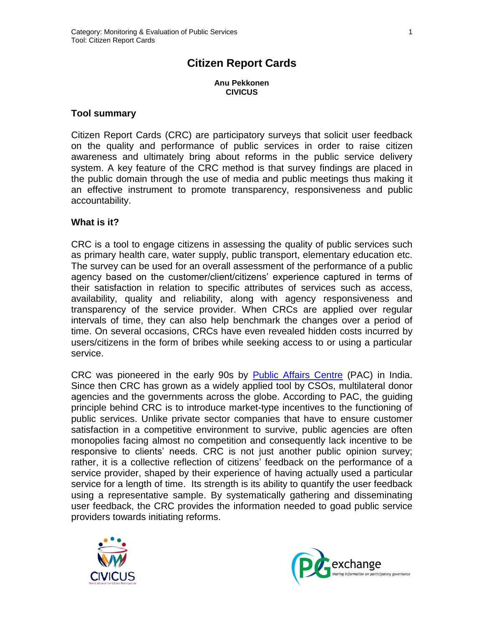# **Citizen Report Cards**

**Anu Pekkonen CIVICUS**

#### **Tool summary**

Citizen Report Cards (CRC) are participatory surveys that solicit user feedback on the quality and performance of public services in order to raise citizen awareness and ultimately bring about reforms in the public service delivery system. A key feature of the CRC method is that survey findings are placed in the public domain through the use of media and public meetings thus making it an effective instrument to promote transparency, responsiveness and public accountability.

#### **What is it?**

CRC is a tool to engage citizens in assessing the quality of public services such as primary health care, water supply, public transport, elementary education etc. The survey can be used for an overall assessment of the performance of a public agency based on the customer/client/citizens' experience captured in terms of their satisfaction in relation to specific attributes of services such as access, availability, quality and reliability, along with agency responsiveness and transparency of the service provider. When CRCs are applied over regular intervals of time, they can also help benchmark the changes over a period of time. On several occasions, CRCs have even revealed hidden costs incurred by users/citizens in the form of bribes while seeking access to or using a particular service.

CRC was pioneered in the early 90s by [Public Affairs Centre](http://www.pacindia.org/) (PAC) in India. Since then CRC has grown as a widely applied tool by CSOs, multilateral donor agencies and the governments across the globe. According to PAC, the guiding principle behind CRC is to introduce market-type incentives to the functioning of public services. Unlike private sector companies that have to ensure customer satisfaction in a competitive environment to survive, public agencies are often monopolies facing almost no competition and consequently lack incentive to be responsive to clients' needs. CRC is not just another public opinion survey; rather, it is a collective reflection of citizens' feedback on the performance of a service provider, shaped by their experience of having actually used a particular service for a length of time. Its strength is its ability to quantify the user feedback using a representative sample. By systematically gathering and disseminating user feedback, the CRC provides the information needed to goad public service providers towards initiating reforms.



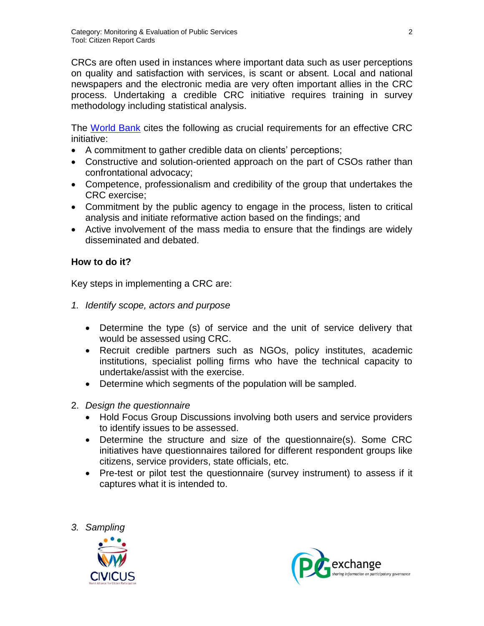CRCs are often used in instances where important data such as user perceptions on quality and satisfaction with services, is scant or absent. Local and national newspapers and the electronic media are very often important allies in the CRC process. Undertaking a credible CRC initiative requires training in survey methodology including statistical analysis.

The [World Bank](http://siteresources.worldbank.org/INTPCENG/1143380-1116506267488/20511066/reportcardnote.pdf) cites the following as crucial requirements for an effective CRC initiative:

- A commitment to gather credible data on clients' perceptions;
- Constructive and solution-oriented approach on the part of CSOs rather than confrontational advocacy;
- Competence, professionalism and credibility of the group that undertakes the CRC exercise;
- Commitment by the public agency to engage in the process, listen to critical analysis and initiate reformative action based on the findings; and
- Active involvement of the mass media to ensure that the findings are widely disseminated and debated.

# **How to do it?**

Key steps in implementing a CRC are:

- *1. Identify scope, actors and purpose*
	- Determine the type (s) of service and the unit of service delivery that would be assessed using CRC.
	- Recruit credible partners such as NGOs, policy institutes, academic institutions, specialist polling firms who have the technical capacity to undertake/assist with the exercise.
	- Determine which segments of the population will be sampled.
- 2. *Design the questionnaire*
	- Hold Focus Group Discussions involving both users and service providers to identify issues to be assessed.
	- Determine the structure and size of the questionnaire(s). Some CRC initiatives have questionnaires tailored for different respondent groups like citizens, service providers, state officials, etc.
	- Pre-test or pilot test the questionnaire (survey instrument) to assess if it captures what it is intended to.





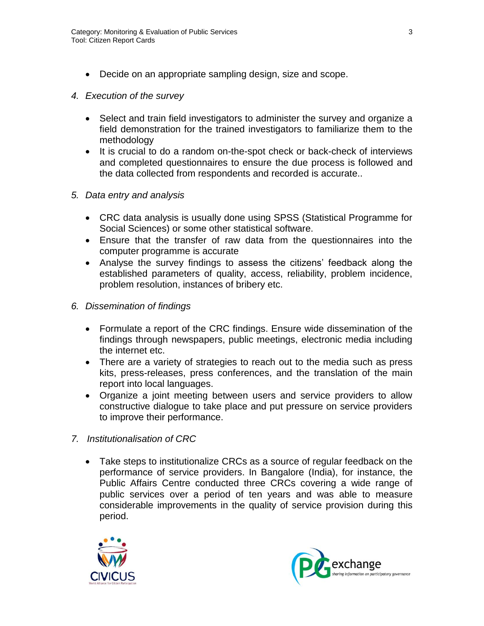- Decide on an appropriate sampling design, size and scope.
- *4. Execution of the survey*
	- Select and train field investigators to administer the survey and organize a field demonstration for the trained investigators to familiarize them to the methodology
	- It is crucial to do a random on-the-spot check or back-check of interviews and completed questionnaires to ensure the due process is followed and the data collected from respondents and recorded is accurate..
- *5. Data entry and analysis*
	- CRC data analysis is usually done using SPSS (Statistical Programme for Social Sciences) or some other statistical software.
	- Ensure that the transfer of raw data from the questionnaires into the computer programme is accurate
	- Analyse the survey findings to assess the citizens' feedback along the established parameters of quality, access, reliability, problem incidence, problem resolution, instances of bribery etc.
- *6. Dissemination of findings*
	- Formulate a report of the CRC findings. Ensure wide dissemination of the findings through newspapers, public meetings, electronic media including the internet etc.
	- There are a variety of strategies to reach out to the media such as press kits, press-releases, press conferences, and the translation of the main report into local languages.
	- Organize a joint meeting between users and service providers to allow constructive dialogue to take place and put pressure on service providers to improve their performance.
- *7. Institutionalisation of CRC*
	- Take steps to institutionalize CRCs as a source of regular feedback on the performance of service providers. In Bangalore (India), for instance, the Public Affairs Centre conducted three CRCs covering a wide range of public services over a period of ten years and was able to measure considerable improvements in the quality of service provision during this period.



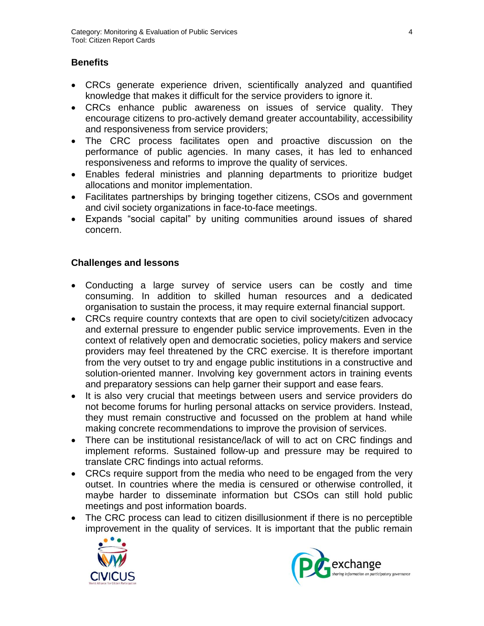# **Benefits**

- CRCs generate experience driven, scientifically analyzed and quantified knowledge that makes it difficult for the service providers to ignore it.
- CRCs enhance public awareness on issues of service quality. They encourage citizens to pro-actively demand greater accountability, accessibility and responsiveness from service providers;
- The CRC process facilitates open and proactive discussion on the performance of public agencies. In many cases, it has led to enhanced responsiveness and reforms to improve the quality of services.
- Enables federal ministries and planning departments to prioritize budget allocations and monitor implementation.
- Facilitates partnerships by bringing together citizens, CSOs and government and civil society organizations in face-to-face meetings.
- Expands "social capital" by uniting communities around issues of shared concern.

# **Challenges and lessons**

- Conducting a large survey of service users can be costly and time consuming. In addition to skilled human resources and a dedicated organisation to sustain the process, it may require external financial support.
- CRCs require country contexts that are open to civil society/citizen advocacy and external pressure to engender public service improvements. Even in the context of relatively open and democratic societies, policy makers and service providers may feel threatened by the CRC exercise. It is therefore important from the very outset to try and engage public institutions in a constructive and solution-oriented manner. Involving key government actors in training events and preparatory sessions can help garner their support and ease fears.
- It is also very crucial that meetings between users and service providers do not become forums for hurling personal attacks on service providers. Instead, they must remain constructive and focussed on the problem at hand while making concrete recommendations to improve the provision of services.
- There can be institutional resistance/lack of will to act on CRC findings and implement reforms. Sustained follow-up and pressure may be required to translate CRC findings into actual reforms.
- CRCs require support from the media who need to be engaged from the very outset. In countries where the media is censured or otherwise controlled, it maybe harder to disseminate information but CSOs can still hold public meetings and post information boards.
- The CRC process can lead to citizen disillusionment if there is no perceptible improvement in the quality of services. It is important that the public remain



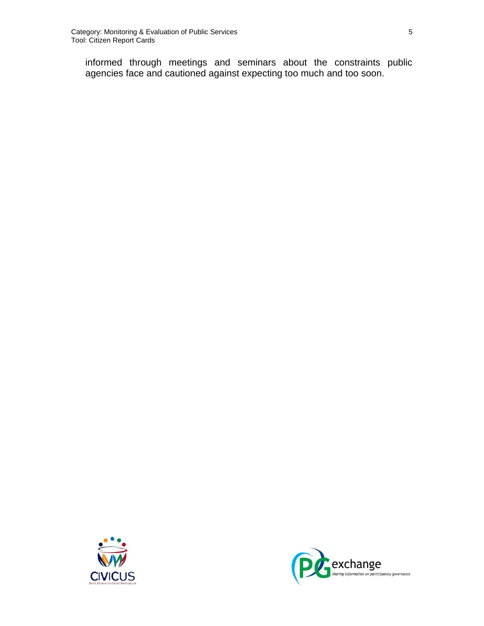informed through meetings and seminars about the constraints public agencies face and cautioned against expecting too much and too soon.



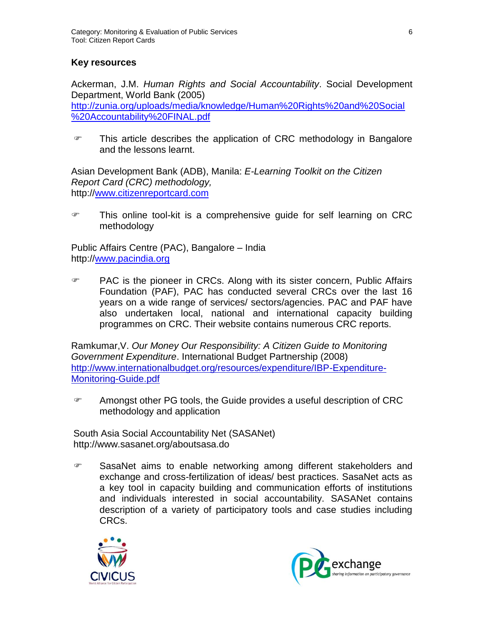### **Key resources**

Ackerman, J.M. *Human Rights and Social Accountability*. Social Development Department, World Bank (2005) [http://zunia.org/uploads/media/knowledge/Human%20Rights%20and%20Social](http://zunia.org/uploads/media/knowledge/Human%20Rights%20and%20Social%20Accountability%20FINAL.pdf) [%20Accountability%20FINAL.pdf](http://zunia.org/uploads/media/knowledge/Human%20Rights%20and%20Social%20Accountability%20FINAL.pdf)

**This article describes the application of CRC methodology in Bangalore** and the lessons learnt.

Asian Development Bank (ADB), Manila: *E-Learning Toolkit on the Citizen Report Card (CRC) methodology,*  http:/[/www.citizenreportcard.com](http://www.citizenreportcard.com/)

 This online tool-kit is a comprehensive guide for self learning on CRC methodology

Public Affairs Centre (PAC), Bangalore – India http:/[/www.pacindia.org](http://www.pacindia.org/)

 PAC is the pioneer in CRCs. Along with its sister concern, Public Affairs Foundation (PAF), PAC has conducted several CRCs over the last 16 years on a wide range of services/ sectors/agencies. PAC and PAF have also undertaken local, national and international capacity building programmes on CRC. Their website contains numerous CRC reports.

Ramkumar,V. *Our Money Our Responsibility: A Citizen Guide to Monitoring Government Expenditure*. International Budget Partnership (2008) [http://www.internationalbudget.org/resources/expenditure/IBP-Expenditure-](http://www.internationalbudget.org/resources/expenditure/IBP-Expenditure-Monitoring-Guide.pdf)[Monitoring-Guide.pdf](http://www.internationalbudget.org/resources/expenditure/IBP-Expenditure-Monitoring-Guide.pdf)

**EXECUTE:** Amongst other PG tools, the Guide provides a useful description of CRC methodology and application

South Asia Social Accountability Net (SASANet) http://www.sasanet.org/aboutsasa.do

 SasaNet aims to enable networking among different stakeholders and exchange and cross-fertilization of ideas/ best practices. SasaNet acts as a key tool in capacity building and communication efforts of institutions and individuals interested in social accountability. SASANet contains description of a variety of participatory tools and case studies including CRCs.



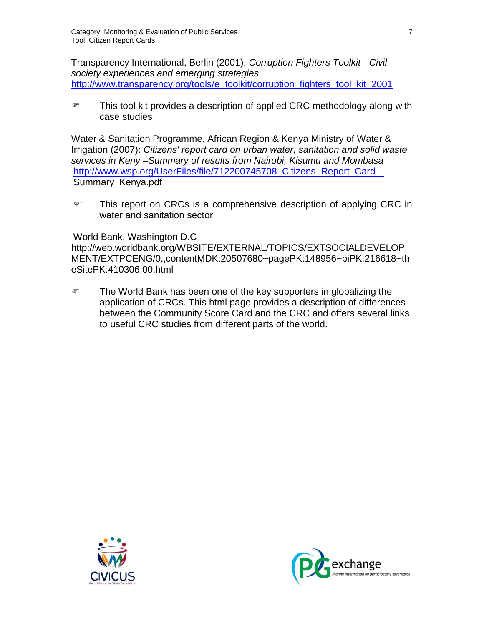Transparency International, Berlin (2001): *Corruption Fighters Toolkit - Civil society experiences and emerging strategies* [http://www.transparency.org/tools/e\\_toolkit/corruption\\_fighters\\_tool\\_kit\\_2001](http://www.transparency.org/tools/e_toolkit/corruption_fighters_tool_kit_2001)

 This tool kit provides a description of applied CRC methodology along with case studies

Water & Sanitation Programme, African Region & Kenya Ministry of Water & Irrigation (2007): *Citizens' report card on urban water, sanitation and solid waste services in Keny –Summary of results from Nairobi, Kisumu and Mombasa* [http://www.wsp.org/UserFiles/file/712200745708\\_Citizens\\_Report\\_Card\\_-](http://www.wsp.org/UserFiles/file/712200745708_Citizens_Report_Card_-) Summary\_Kenya.pdf

**This report on CRCs is a comprehensive description of applying CRC in** water and sanitation sector

#### World Bank, Washington D.C

http://web.worldbank.org/WBSITE/EXTERNAL/TOPICS/EXTSOCIALDEVELOP MENT/EXTPCENG/0,,contentMDK:20507680~pagePK:148956~piPK:216618~th eSitePK:410306,00.html

The World Bank has been one of the key supporters in globalizing the application of CRCs. This html page provides a description of differences between the Community Score Card and the CRC and offers several links to useful CRC studies from different parts of the world.



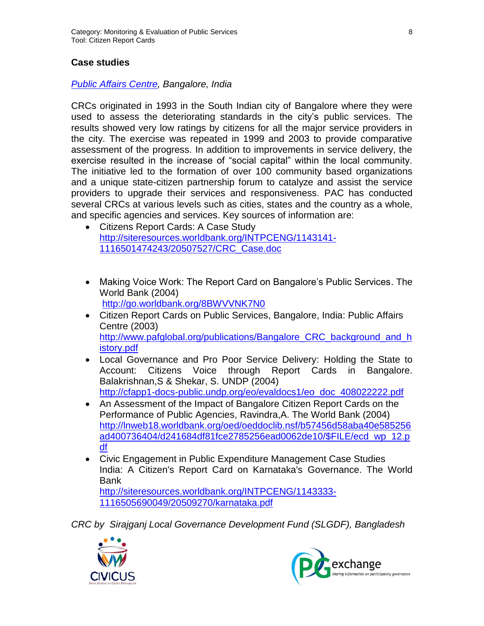#### **Case studies**

#### *[Public Affairs Centre,](http://www.pacindia.org/) Bangalore, India*

CRCs originated in 1993 in the South Indian city of Bangalore where they were used to assess the deteriorating standards in the city's public services. The results showed very low ratings by citizens for all the major service providers in the city. The exercise was repeated in 1999 and 2003 to provide comparative assessment of the progress. In addition to improvements in service delivery, the exercise resulted in the increase of "social capital" within the local community. The initiative led to the formation of over 100 community based organizations and a unique state-citizen partnership forum to catalyze and assist the service providers to upgrade their services and responsiveness. PAC has conducted several CRCs at various levels such as cities, states and the country as a whole, and specific agencies and services. Key sources of information are:

- Citizens Report Cards: A Case Study [http://siteresources.worldbank.org/INTPCENG/1143141-](http://siteresources.worldbank.org/INTPCENG/1143141-1116501474243/20507527/CRC_Case.doc) [1116501474243/20507527/CRC\\_Case.doc](http://siteresources.worldbank.org/INTPCENG/1143141-1116501474243/20507527/CRC_Case.doc)
- Making Voice Work: The Report Card on Bangalore's Public Services. The World Bank (2004) <http://go.worldbank.org/8BWVVNK7N0>
- Citizen Report Cards on Public Services, Bangalore, India: Public Affairs Centre (2003) [http://www.pafglobal.org/publications/Bangalore\\_CRC\\_background\\_and\\_h](http://www.pafglobal.org/publications/Bangalore_CRC_background_and_history.pdf) [istory.pdf](http://www.pafglobal.org/publications/Bangalore_CRC_background_and_history.pdf)
- Local Governance and Pro Poor Service Delivery: Holding the State to Account: Citizens Voice through Report Cards in Bangalore. Balakrishnan,S & Shekar, S. UNDP (2004) [http://cfapp1-docs-public.undp.org/eo/evaldocs1/eo\\_doc\\_408022222.pdf](http://cfapp1-docs-public.undp.org/eo/evaldocs1/eo_doc_408022222.pdf)
- An Assessment of the Impact of Bangalore Citizen Report Cards on the Performance of Public Agencies, Ravindra,A. The World Bank (2004) [http://lnweb18.worldbank.org/oed/oeddoclib.nsf/b57456d58aba40e585256](http://lnweb18.worldbank.org/oed/oeddoclib.nsf/b57456d58aba40e585256ad400736404/d241684df81fce2785256ead0062de10/$FILE/ecd_wp_12.pdf) [ad400736404/d241684df81fce2785256ead0062de10/\\$FILE/ecd\\_wp\\_12.p](http://lnweb18.worldbank.org/oed/oeddoclib.nsf/b57456d58aba40e585256ad400736404/d241684df81fce2785256ead0062de10/$FILE/ecd_wp_12.pdf) [df](http://lnweb18.worldbank.org/oed/oeddoclib.nsf/b57456d58aba40e585256ad400736404/d241684df81fce2785256ead0062de10/$FILE/ecd_wp_12.pdf)
- Civic Engagement in Public Expenditure Management Case Studies India: A Citizen's Report Card on Karnataka's Governance. The World Bank

[http://siteresources.worldbank.org/INTPCENG/1143333-](http://siteresources.worldbank.org/INTPCENG/1143333-1116505690049/20509270/karnataka.pdf) [1116505690049/20509270/karnataka.pdf](http://siteresources.worldbank.org/INTPCENG/1143333-1116505690049/20509270/karnataka.pdf)

*CRC by Sirajganj Local Governance Development Fund (SLGDF), Bangladesh*